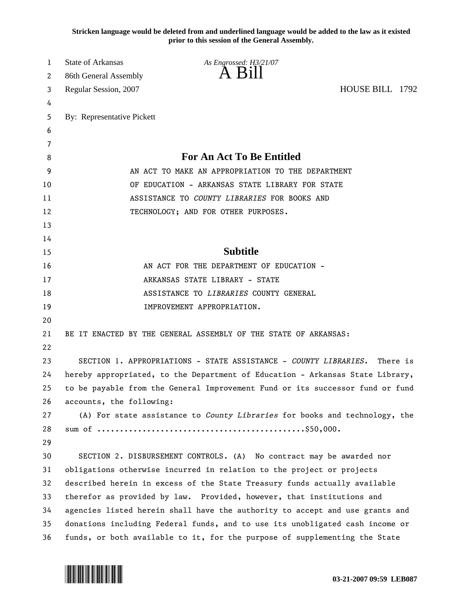**Stricken language would be deleted from and underlined language would be added to the law as it existed prior to this session of the General Assembly.**

| 1  | <b>State of Arkansas</b>                                                      | As Engrossed: H3/21/07                                                        |  |  |
|----|-------------------------------------------------------------------------------|-------------------------------------------------------------------------------|--|--|
| 2  | 86th General Assembly                                                         | $A$ Bill                                                                      |  |  |
| 3  | HOUSE BILL 1792<br>Regular Session, 2007                                      |                                                                               |  |  |
| 4  |                                                                               |                                                                               |  |  |
| 5  | By: Representative Pickett                                                    |                                                                               |  |  |
| 6  |                                                                               |                                                                               |  |  |
| 7  |                                                                               |                                                                               |  |  |
| 8  | <b>For An Act To Be Entitled</b>                                              |                                                                               |  |  |
| 9  | AN ACT TO MAKE AN APPROPRIATION TO THE DEPARTMENT                             |                                                                               |  |  |
| 10 | OF EDUCATION - ARKANSAS STATE LIBRARY FOR STATE                               |                                                                               |  |  |
| 11 | ASSISTANCE TO COUNTY LIBRARIES FOR BOOKS AND                                  |                                                                               |  |  |
| 12 | TECHNOLOGY; AND FOR OTHER PURPOSES.                                           |                                                                               |  |  |
| 13 |                                                                               |                                                                               |  |  |
| 14 |                                                                               |                                                                               |  |  |
| 15 |                                                                               | <b>Subtitle</b>                                                               |  |  |
| 16 | AN ACT FOR THE DEPARTMENT OF EDUCATION -                                      |                                                                               |  |  |
| 17 | ARKANSAS STATE LIBRARY - STATE                                                |                                                                               |  |  |
| 18 | ASSISTANCE TO LIBRARIES COUNTY GENERAL                                        |                                                                               |  |  |
| 19 |                                                                               | IMPROVEMENT APPROPRIATION.                                                    |  |  |
| 20 |                                                                               |                                                                               |  |  |
| 21 |                                                                               | BE IT ENACTED BY THE GENERAL ASSEMBLY OF THE STATE OF ARKANSAS:               |  |  |
| 22 |                                                                               |                                                                               |  |  |
| 23 | SECTION 1. APPROPRIATIONS - STATE ASSISTANCE - COUNTY LIBRARIES.<br>There is  |                                                                               |  |  |
| 24 | hereby appropriated, to the Department of Education - Arkansas State Library, |                                                                               |  |  |
| 25 |                                                                               | to be payable from the General Improvement Fund or its successor fund or fund |  |  |
| 26 | accounts, the following:                                                      |                                                                               |  |  |
| 27 |                                                                               | (A) For state assistance to County Libraries for books and technology, the    |  |  |
| 28 |                                                                               |                                                                               |  |  |
| 29 |                                                                               |                                                                               |  |  |
| 30 |                                                                               | SECTION 2. DISBURSEMENT CONTROLS. (A) No contract may be awarded nor          |  |  |
| 31 | obligations otherwise incurred in relation to the project or projects         |                                                                               |  |  |
| 32 | described herein in excess of the State Treasury funds actually available     |                                                                               |  |  |
| 33 | therefor as provided by law. Provided, however, that institutions and         |                                                                               |  |  |
| 34 | agencies listed herein shall have the authority to accept and use grants and  |                                                                               |  |  |
| 35 | donations including Federal funds, and to use its unobligated cash income or  |                                                                               |  |  |
| 36 | funds, or both available to it, for the purpose of supplementing the State    |                                                                               |  |  |